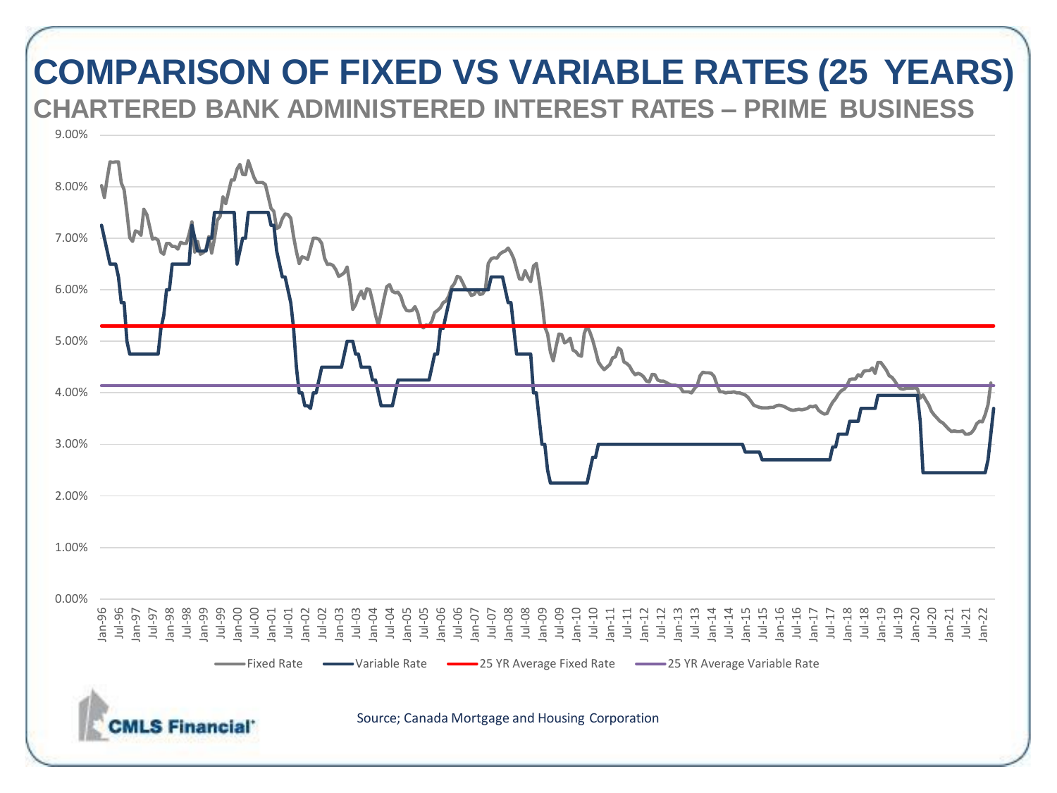### **COMPARISON OF FIXED VS VARIABLE RATES (25 YEARS) CHARTERED BANK ADMINISTERED INTEREST RATES – PRIME BUSINESS**

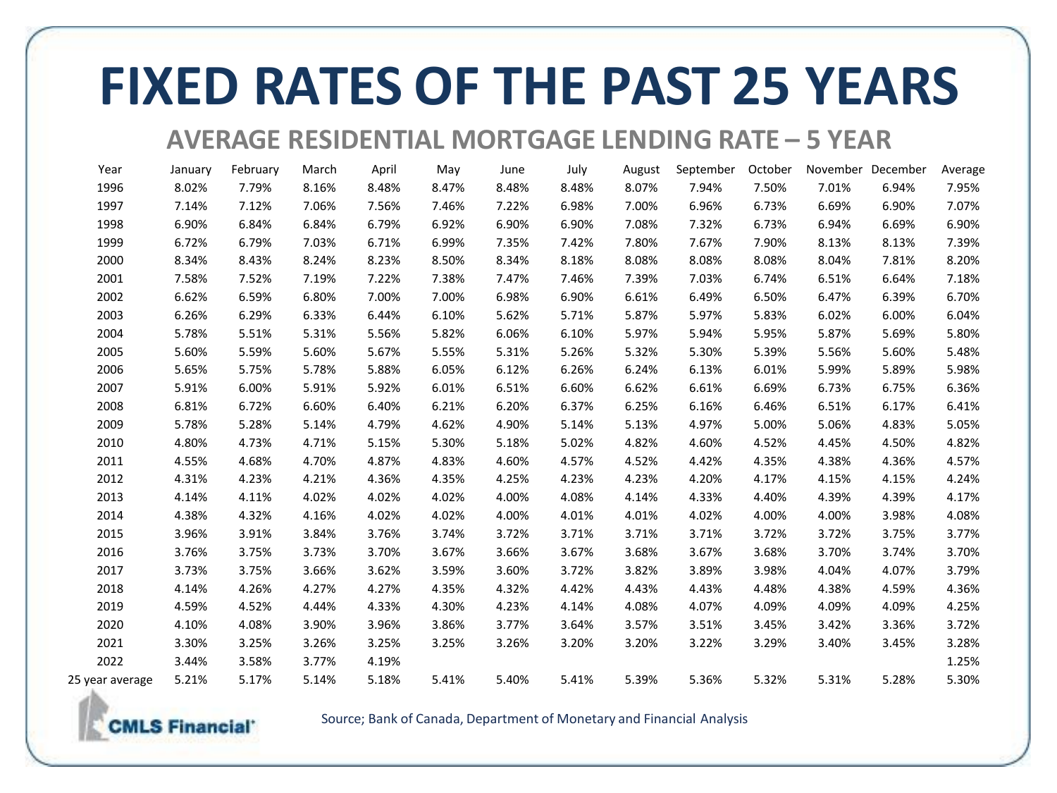# **FIXED RATES OF THE PAST 25 YEARS**

#### **AVERAGE RESIDENTIAL MORTGAGE LENDING RATE – 5 YEAR**

| Year            | January | February | March | April | May   | June  | July  | August | September | October |       | November December | Average |
|-----------------|---------|----------|-------|-------|-------|-------|-------|--------|-----------|---------|-------|-------------------|---------|
| 1996            | 8.02%   | 7.79%    | 8.16% | 8.48% | 8.47% | 8.48% | 8.48% | 8.07%  | 7.94%     | 7.50%   | 7.01% | 6.94%             | 7.95%   |
| 1997            | 7.14%   | 7.12%    | 7.06% | 7.56% | 7.46% | 7.22% | 6.98% | 7.00%  | 6.96%     | 6.73%   | 6.69% | 6.90%             | 7.07%   |
| 1998            | 6.90%   | 6.84%    | 6.84% | 6.79% | 6.92% | 6.90% | 6.90% | 7.08%  | 7.32%     | 6.73%   | 6.94% | 6.69%             | 6.90%   |
| 1999            | 6.72%   | 6.79%    | 7.03% | 6.71% | 6.99% | 7.35% | 7.42% | 7.80%  | 7.67%     | 7.90%   | 8.13% | 8.13%             | 7.39%   |
| 2000            | 8.34%   | 8.43%    | 8.24% | 8.23% | 8.50% | 8.34% | 8.18% | 8.08%  | 8.08%     | 8.08%   | 8.04% | 7.81%             | 8.20%   |
| 2001            | 7.58%   | 7.52%    | 7.19% | 7.22% | 7.38% | 7.47% | 7.46% | 7.39%  | 7.03%     | 6.74%   | 6.51% | 6.64%             | 7.18%   |
| 2002            | 6.62%   | 6.59%    | 6.80% | 7.00% | 7.00% | 6.98% | 6.90% | 6.61%  | 6.49%     | 6.50%   | 6.47% | 6.39%             | 6.70%   |
| 2003            | 6.26%   | 6.29%    | 6.33% | 6.44% | 6.10% | 5.62% | 5.71% | 5.87%  | 5.97%     | 5.83%   | 6.02% | 6.00%             | 6.04%   |
| 2004            | 5.78%   | 5.51%    | 5.31% | 5.56% | 5.82% | 6.06% | 6.10% | 5.97%  | 5.94%     | 5.95%   | 5.87% | 5.69%             | 5.80%   |
| 2005            | 5.60%   | 5.59%    | 5.60% | 5.67% | 5.55% | 5.31% | 5.26% | 5.32%  | 5.30%     | 5.39%   | 5.56% | 5.60%             | 5.48%   |
| 2006            | 5.65%   | 5.75%    | 5.78% | 5.88% | 6.05% | 6.12% | 6.26% | 6.24%  | 6.13%     | 6.01%   | 5.99% | 5.89%             | 5.98%   |
| 2007            | 5.91%   | 6.00%    | 5.91% | 5.92% | 6.01% | 6.51% | 6.60% | 6.62%  | 6.61%     | 6.69%   | 6.73% | 6.75%             | 6.36%   |
| 2008            | 6.81%   | 6.72%    | 6.60% | 6.40% | 6.21% | 6.20% | 6.37% | 6.25%  | 6.16%     | 6.46%   | 6.51% | 6.17%             | 6.41%   |
| 2009            | 5.78%   | 5.28%    | 5.14% | 4.79% | 4.62% | 4.90% | 5.14% | 5.13%  | 4.97%     | 5.00%   | 5.06% | 4.83%             | 5.05%   |
| 2010            | 4.80%   | 4.73%    | 4.71% | 5.15% | 5.30% | 5.18% | 5.02% | 4.82%  | 4.60%     | 4.52%   | 4.45% | 4.50%             | 4.82%   |
| 2011            | 4.55%   | 4.68%    | 4.70% | 4.87% | 4.83% | 4.60% | 4.57% | 4.52%  | 4.42%     | 4.35%   | 4.38% | 4.36%             | 4.57%   |
| 2012            | 4.31%   | 4.23%    | 4.21% | 4.36% | 4.35% | 4.25% | 4.23% | 4.23%  | 4.20%     | 4.17%   | 4.15% | 4.15%             | 4.24%   |
| 2013            | 4.14%   | 4.11%    | 4.02% | 4.02% | 4.02% | 4.00% | 4.08% | 4.14%  | 4.33%     | 4.40%   | 4.39% | 4.39%             | 4.17%   |
| 2014            | 4.38%   | 4.32%    | 4.16% | 4.02% | 4.02% | 4.00% | 4.01% | 4.01%  | 4.02%     | 4.00%   | 4.00% | 3.98%             | 4.08%   |
| 2015            | 3.96%   | 3.91%    | 3.84% | 3.76% | 3.74% | 3.72% | 3.71% | 3.71%  | 3.71%     | 3.72%   | 3.72% | 3.75%             | 3.77%   |
| 2016            | 3.76%   | 3.75%    | 3.73% | 3.70% | 3.67% | 3.66% | 3.67% | 3.68%  | 3.67%     | 3.68%   | 3.70% | 3.74%             | 3.70%   |
| 2017            | 3.73%   | 3.75%    | 3.66% | 3.62% | 3.59% | 3.60% | 3.72% | 3.82%  | 3.89%     | 3.98%   | 4.04% | 4.07%             | 3.79%   |
| 2018            | 4.14%   | 4.26%    | 4.27% | 4.27% | 4.35% | 4.32% | 4.42% | 4.43%  | 4.43%     | 4.48%   | 4.38% | 4.59%             | 4.36%   |
| 2019            | 4.59%   | 4.52%    | 4.44% | 4.33% | 4.30% | 4.23% | 4.14% | 4.08%  | 4.07%     | 4.09%   | 4.09% | 4.09%             | 4.25%   |
| 2020            | 4.10%   | 4.08%    | 3.90% | 3.96% | 3.86% | 3.77% | 3.64% | 3.57%  | 3.51%     | 3.45%   | 3.42% | 3.36%             | 3.72%   |
| 2021            | 3.30%   | 3.25%    | 3.26% | 3.25% | 3.25% | 3.26% | 3.20% | 3.20%  | 3.22%     | 3.29%   | 3.40% | 3.45%             | 3.28%   |
| 2022            | 3.44%   | 3.58%    | 3.77% | 4.19% |       |       |       |        |           |         |       |                   | 1.25%   |
| 25 year average | 5.21%   | 5.17%    | 5.14% | 5.18% | 5.41% | 5.40% | 5.41% | 5.39%  | 5.36%     | 5.32%   | 5.31% | 5.28%             | 5.30%   |
|                 |         |          |       |       |       |       |       |        |           |         |       |                   |         |

Source; Bank of Canada, Department of Monetary and Financial Analysis